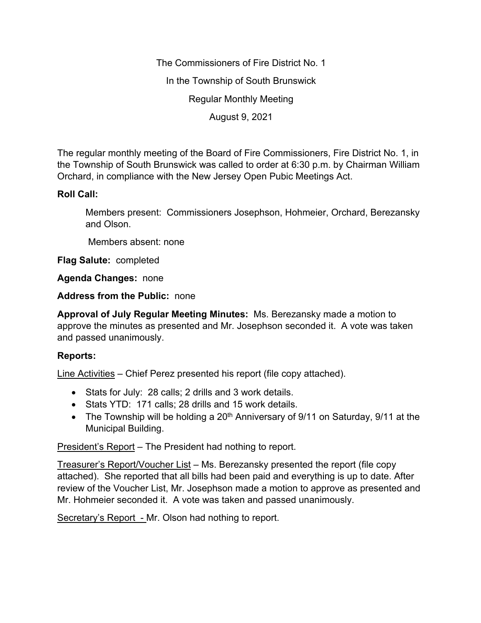The Commissioners of Fire District No. 1 In the Township of South Brunswick Regular Monthly Meeting August 9, 2021

The regular monthly meeting of the Board of Fire Commissioners, Fire District No. 1, in the Township of South Brunswick was called to order at 6:30 p.m. by Chairman William Orchard, in compliance with the New Jersey Open Pubic Meetings Act.

# **Roll Call:**

Members present: Commissioners Josephson, Hohmeier, Orchard, Berezansky and Olson.

Members absent: none

**Flag Salute:** completed

**Agenda Changes:** none

**Address from the Public:** none

**Approval of July Regular Meeting Minutes:** Ms. Berezansky made a motion to approve the minutes as presented and Mr. Josephson seconded it. A vote was taken and passed unanimously.

# **Reports:**

Line Activities – Chief Perez presented his report (file copy attached).

- Stats for July: 28 calls; 2 drills and 3 work details.
- Stats YTD: 171 calls; 28 drills and 15 work details.
- The Township will be holding a  $20<sup>th</sup>$  Anniversary of 9/11 on Saturday, 9/11 at the Municipal Building.

President's Report – The President had nothing to report.

Treasurer's Report/Voucher List – Ms. Berezansky presented the report (file copy attached). She reported that all bills had been paid and everything is up to date. After review of the Voucher List, Mr. Josephson made a motion to approve as presented and Mr. Hohmeier seconded it. A vote was taken and passed unanimously.

Secretary's Report - Mr. Olson had nothing to report.